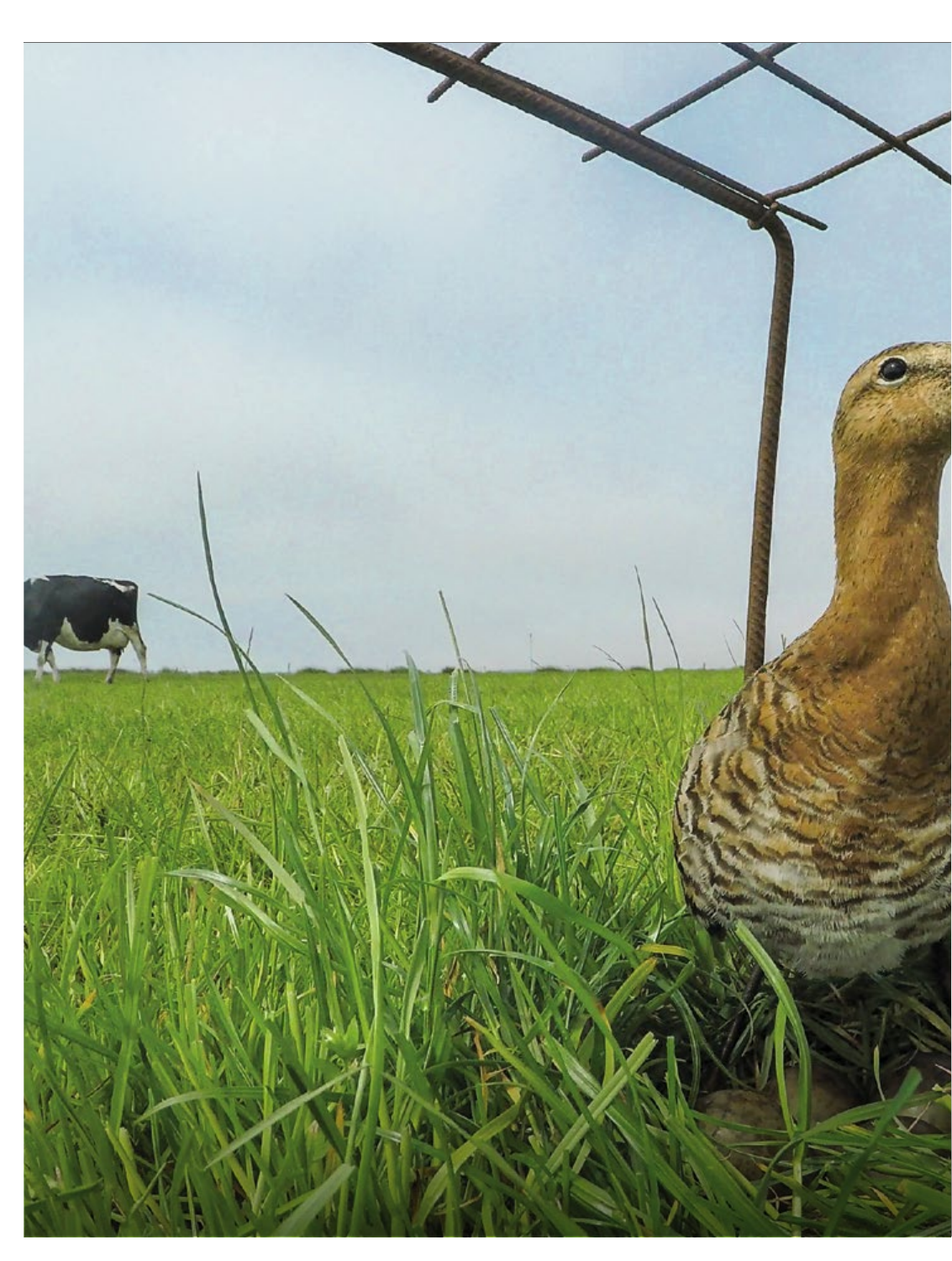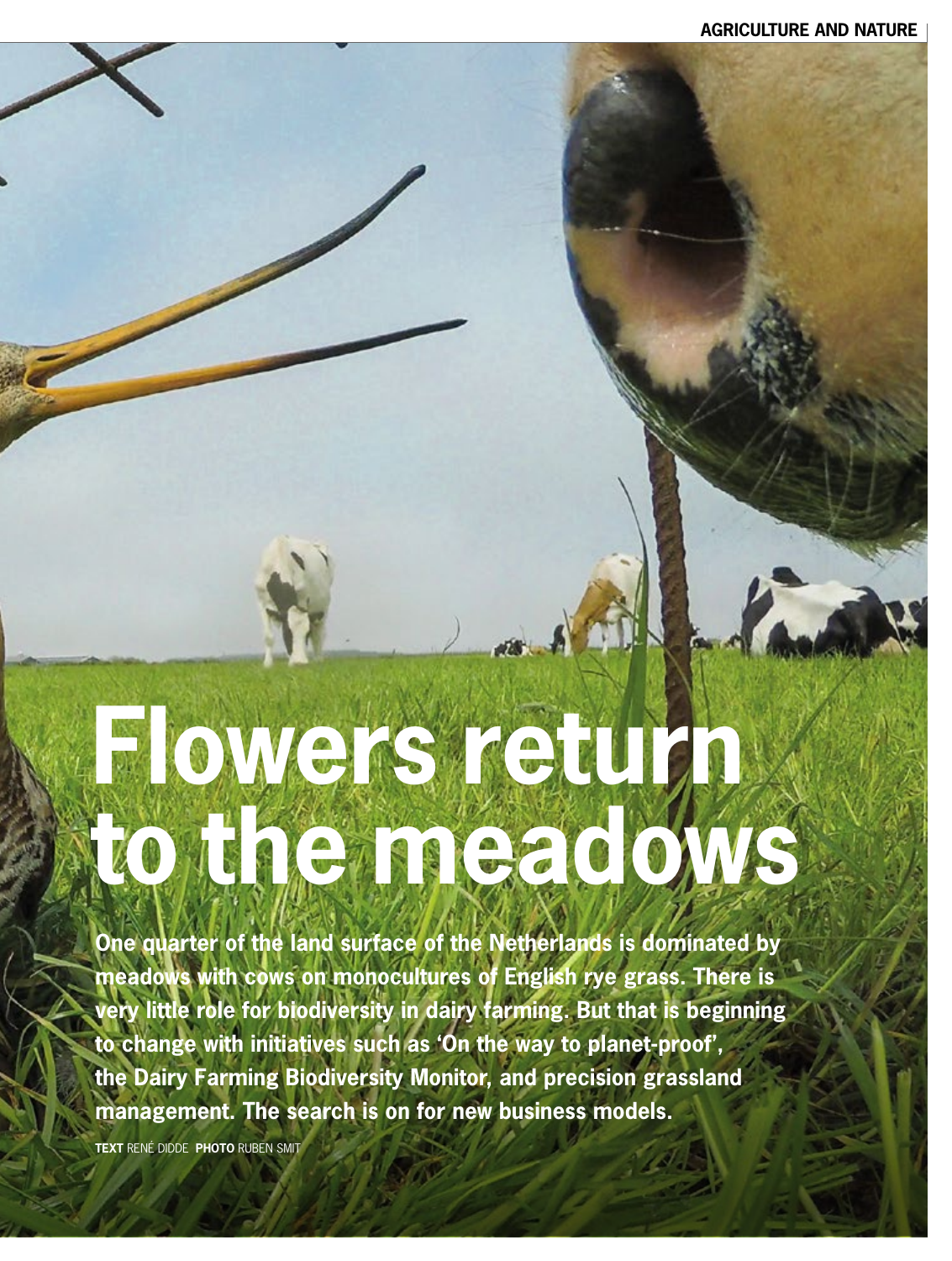# **Flowers return to the meadows**

**One quarter of the land surface of the Netherlands is dominated by meadows with cows on monocultures of English rye grass. There is very little role for biodiversity in dairy farming. But that is beginning to change with initiatives such as 'On the way to planet-proof', the Dairy Farming Biodiversity Monitor, and precision grassland management. The search is on for new business models.**

**TEXT** RENÉ DIDDE **PHOTO** RUBEN SMIT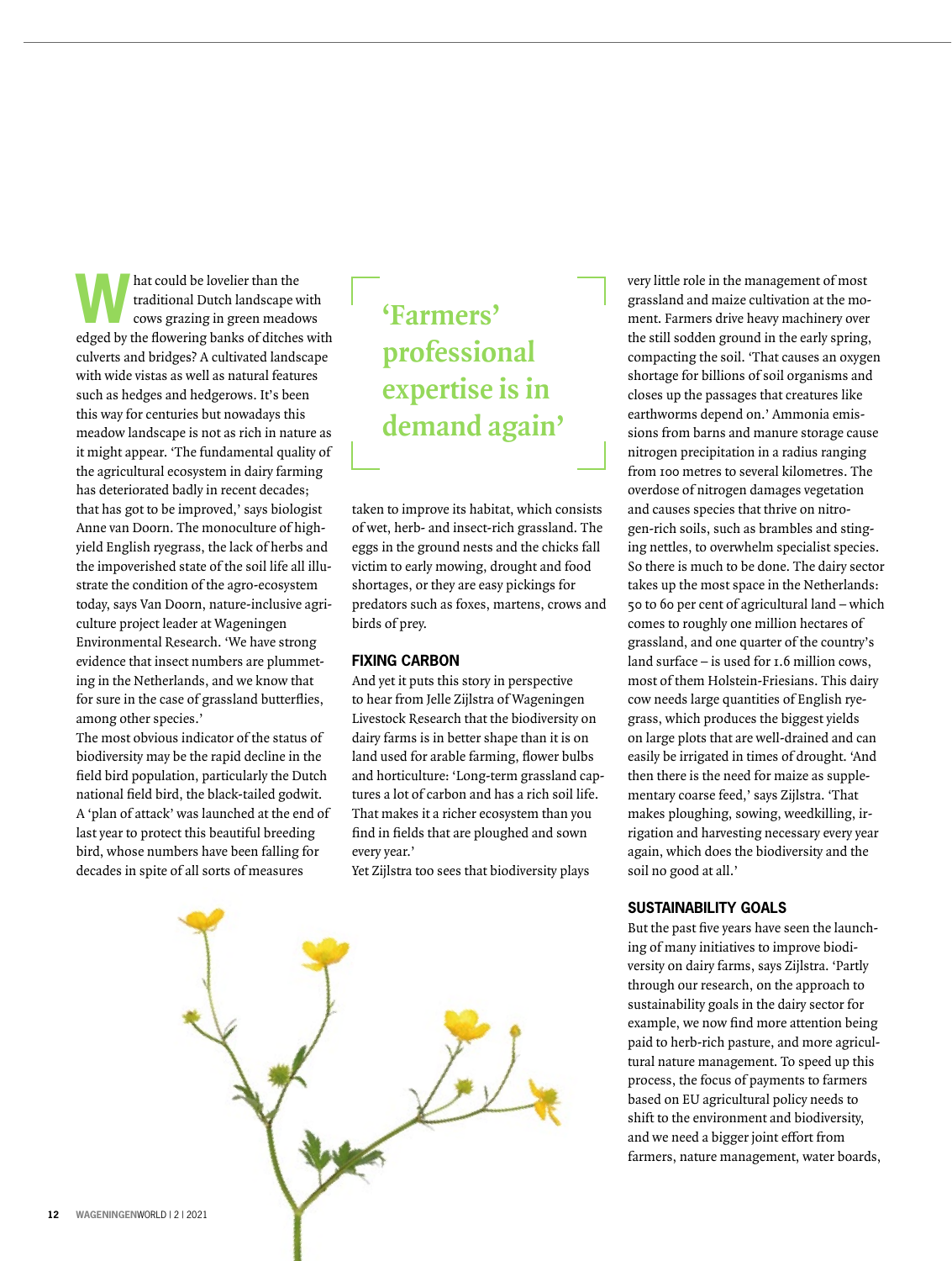hat could be lovelier than the traditional Dutch landscape w<br>cows grazing in green meado traditional Dutch landscape with cows grazing in green meadows edged by the flowering banks of ditches with culverts and bridges? A cultivated landscape with wide vistas as well as natural features such as hedges and hedgerows. It's been this way for centuries but nowadays this meadow landscape is not as rich in nature as it might appear. 'The fundamental quality of the agricultural ecosystem in dairy farming has deteriorated badly in recent decades; that has got to be improved,' says biologist Anne van Doorn. The monoculture of highyield English ryegrass, the lack of herbs and the impoverished state of the soil life all illustrate the condition of the agro-ecosystem today, says Van Doorn, nature-inclusive agriculture project leader at Wageningen Environmental Research. 'We have strong evidence that insect numbers are plummeting in the Netherlands, and we know that for sure in the case of grassland butterflies, among other species.'

The most obvious indicator of the status of biodiversity may be the rapid decline in the field bird population, particularly the Dutch national field bird, the black-tailed godwit. A 'plan of attack' was launched at the end of last year to protect this beautiful breeding bird, whose numbers have been falling for decades in spite of all sorts of measures

**'Farmers' professional expertise is in demand again'**

taken to improve its habitat, which consists of wet, herb- and insect-rich grassland. The eggs in the ground nests and the chicks fall victim to early mowing, drought and food shortages, or they are easy pickings for predators such as foxes, martens, crows and birds of prey.

#### **FIXING CARBON**

And yet it puts this story in perspective to hear from Jelle Zijlstra of Wageningen Livestock Research that the biodiversity on dairy farms is in better shape than it is on land used for arable farming, flower bulbs and horticulture: 'Long-term grassland captures a lot of carbon and has a rich soil life. That makes it a richer ecosystem than you find in fields that are ploughed and sown every year.'

Yet Zijlstra too sees that biodiversity plays

very little role in the management of most grassland and maize cultivation at the moment. Farmers drive heavy machinery over the still sodden ground in the early spring, compacting the soil. 'That causes an oxygen shortage for billions of soil organisms and closes up the passages that creatures like earthworms depend on.' Ammonia emissions from barns and manure storage cause nitrogen precipitation in a radius ranging from 100 metres to several kilometres. The overdose of nitrogen damages vegetation and causes species that thrive on nitrogen-rich soils, such as brambles and stinging nettles, to overwhelm specialist species. So there is much to be done. The dairy sector takes up the most space in the Netherlands: 50 to 60 per cent of agricultural land – which comes to roughly one million hectares of grassland, and one quarter of the country's land surface – is used for 1.6 million cows, most of them Holstein-Friesians. This dairy cow needs large quantities of English ryegrass, which produces the biggest yields on large plots that are well-drained and can easily be irrigated in times of drought. 'And then there is the need for maize as supplementary coarse feed,' says Zijlstra. 'That makes ploughing, sowing, weedkilling, irrigation and harvesting necessary every year again, which does the biodiversity and the soil no good at all.'

## **SUSTAINABILITY GOALS**

But the past five years have seen the launching of many initiatives to improve biodiversity on dairy farms, says Zijlstra. 'Partly through our research, on the approach to sustainability goals in the dairy sector for example, we now find more attention being paid to herb-rich pasture, and more agricultural nature management. To speed up this process, the focus of payments to farmers based on EU agricultural policy needs to shift to the environment and biodiversity, and we need a bigger joint effort from farmers, nature management, water boards,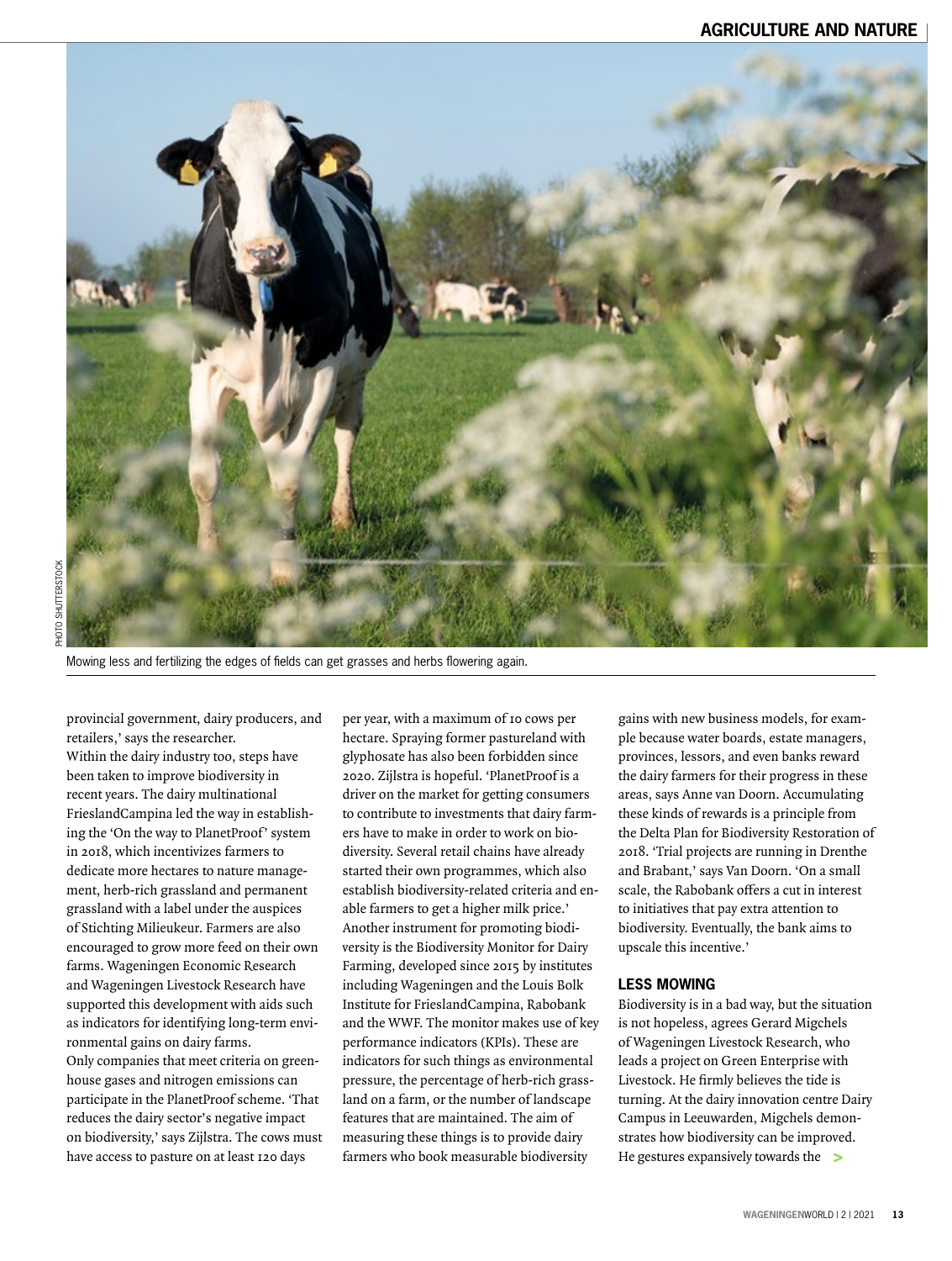

**HOTO SHUTTERSTOCK** PHOTO SHUTTERSTOCK

Mowing less and fertilizing the edges of fields can get grasses and herbs flowering again.

provincial government, dairy producers, and retailers,' says the researcher. Within the dairy industry too, steps have been taken to improve biodiversity in recent years. The dairy multinational FrieslandCampina led the way in establishing the 'On the way to PlanetProof' system in 2018, which incentivizes farmers to dedicate more hectares to nature management, herb-rich grassland and permanent grassland with a label under the auspices of Stichting Milieukeur. Farmers are also encouraged to grow more feed on their own farms. Wageningen Economic Research and Wageningen Livestock Research have supported this development with aids such as indicators for identifying long-term environmental gains on dairy farms. Only companies that meet criteria on greenhouse gases and nitrogen emissions can participate in the PlanetProof scheme. 'That reduces the dairy sector's negative impact on biodiversity,' says Zijlstra. The cows must have access to pasture on at least 120 days

per year, with a maximum of 10 cows per hectare. Spraying former pastureland with glyphosate has also been forbidden since 2020. Zijlstra is hopeful. 'PlanetProof is a driver on the market for getting consumers to contribute to investments that dairy farmers have to make in order to work on biodiversity. Several retail chains have already started their own programmes, which also establish biodiversity-related criteria and enable farmers to get a higher milk price.' Another instrument for promoting biodiversity is the Biodiversity Monitor for Dairy Farming, developed since 2015 by institutes including Wageningen and the Louis Bolk Institute for FrieslandCampina, Rabobank and the WWF. The monitor makes use of key performance indicators (KPIs). These are indicators for such things as environmental pressure, the percentage of herb-rich grassland on a farm, or the number of landscape features that are maintained. The aim of measuring these things is to provide dairy farmers who book measurable biodiversity

gains with new business models, for example because water boards, estate managers, provinces, lessors, and even banks reward the dairy farmers for their progress in these areas, says Anne van Doorn. Accumulating these kinds of rewards is a principle from the Delta Plan for Biodiversity Restoration of 2018. 'Trial projects are running in Drenthe and Brabant,' says Van Doorn. 'On a small scale, the Rabobank offers a cut in interest to initiatives that pay extra attention to biodiversity. Eventually, the bank aims to upscale this incentive.'

# **LESS MOWING**

Biodiversity is in a bad way, but the situation is not hopeless, agrees Gerard Migchels of Wageningen Livestock Research, who leads a project on Green Enterprise with Livestock. He firmly believes the tide is turning. At the dairy innovation centre Dairy Campus in Leeuwarden, Migchels demonstrates how biodiversity can be improved. He gestures expansively towards the **>**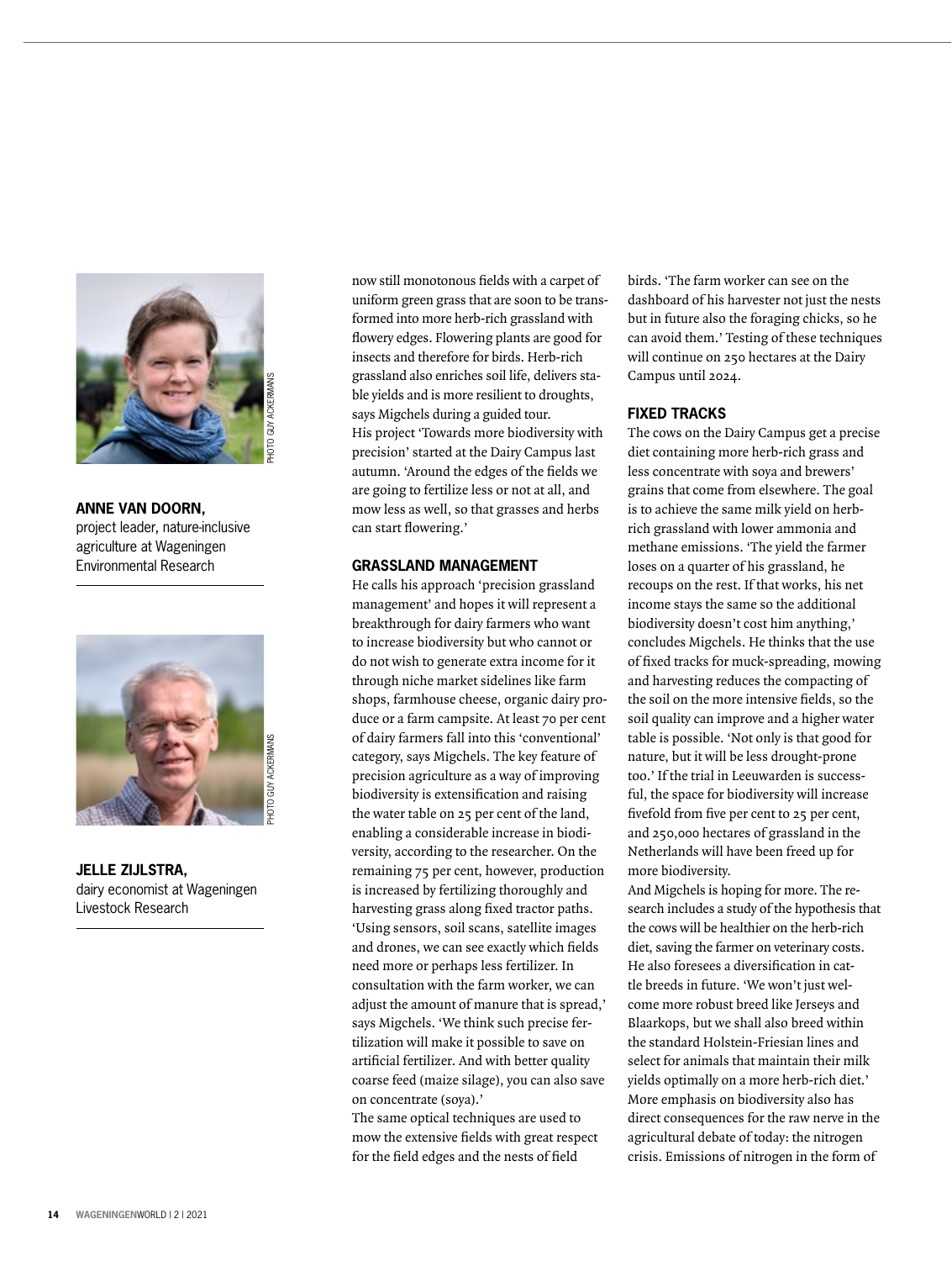

**ANNE VAN DOORN,** project leader, nature-inclusive agriculture at Wageningen Environmental Research



**JELLE ZIJLSTRA,** dairy economist at Wageningen Livestock Research

now still monotonous fields with a carpet of uniform green grass that are soon to be transformed into more herb-rich grassland with flowery edges. Flowering plants are good for insects and therefore for birds. Herb-rich grassland also enriches soil life, delivers stable yields and is more resilient to droughts, says Migchels during a guided tour. His project 'Towards more biodiversity with precision' started at the Dairy Campus last autumn. 'Around the edges of the fields we are going to fertilize less or not at all, and mow less as well, so that grasses and herbs can start flowering.'

#### **GRASSLAND MANAGEMENT**

He calls his approach 'precision grassland management' and hopes it will represent a breakthrough for dairy farmers who want to increase biodiversity but who cannot or do not wish to generate extra income for it through niche market sidelines like farm shops, farmhouse cheese, organic dairy produce or a farm campsite. At least 70 per cent of dairy farmers fall into this 'conventional' category, says Migchels. The key feature of precision agriculture as a way of improving biodiversity is extensification and raising the water table on 25 per cent of the land, enabling a considerable increase in biodiversity, according to the researcher. On the remaining 75 per cent, however, production is increased by fertilizing thoroughly and harvesting grass along fixed tractor paths. 'Using sensors, soil scans, satellite images and drones, we can see exactly which fields need more or perhaps less fertilizer. In consultation with the farm worker, we can adjust the amount of manure that is spread,' says Migchels. 'We think such precise fertilization will make it possible to save on artificial fertilizer. And with better quality coarse feed (maize silage), you can also save on concentrate (soya).'

The same optical techniques are used to mow the extensive fields with great respect for the field edges and the nests of field

birds. 'The farm worker can see on the dashboard of his harvester not just the nests but in future also the foraging chicks, so he can avoid them.' Testing of these techniques will continue on 250 hectares at the Dairy Campus until 2024.

## **FIXED TRACKS**

The cows on the Dairy Campus get a precise diet containing more herb-rich grass and less concentrate with soya and brewers' grains that come from elsewhere. The goal is to achieve the same milk yield on herbrich grassland with lower ammonia and methane emissions. 'The yield the farmer loses on a quarter of his grassland, he recoups on the rest. If that works, his net income stays the same so the additional biodiversity doesn't cost him anything,' concludes Migchels. He thinks that the use of fixed tracks for muck-spreading, mowing and harvesting reduces the compacting of the soil on the more intensive fields, so the soil quality can improve and a higher water table is possible. 'Not only is that good for nature, but it will be less drought-prone too.' If the trial in Leeuwarden is successful, the space for biodiversity will increase fivefold from five per cent to 25 per cent, and 250,000 hectares of grassland in the Netherlands will have been freed up for more biodiversity.

And Migchels is hoping for more. The research includes a study of the hypothesis that the cows will be healthier on the herb-rich diet, saving the farmer on veterinary costs. He also foresees a diversification in cattle breeds in future. 'We won't just welcome more robust breed like Jerseys and Blaarkops, but we shall also breed within the standard Holstein-Friesian lines and select for animals that maintain their milk yields optimally on a more herb-rich diet.' More emphasis on biodiversity also has direct consequences for the raw nerve in the agricultural debate of today: the nitrogen crisis. Emissions of nitrogen in the form of